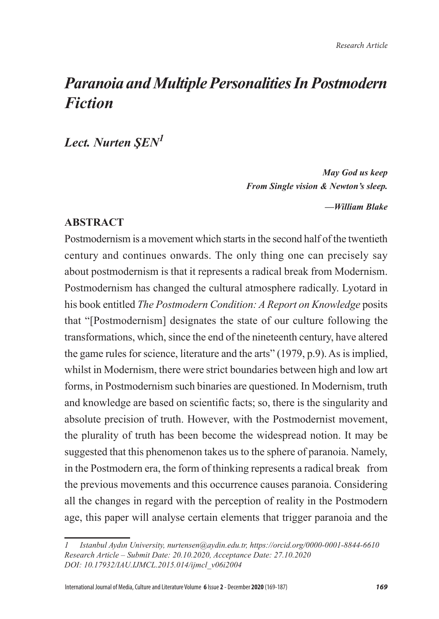# *Paranoia and Multiple Personalities In Postmodern Fiction*

*Lect. Nurten ŞEN<sup>1</sup>*

*May God us keep From Single vision & Newton's sleep.* 

*—William Blake*

## **ABSTRACT**

Postmodernism is a movement which starts in the second half of the twentieth century and continues onwards. The only thing one can precisely say about postmodernism is that it represents a radical break from Modernism. Postmodernism has changed the cultural atmosphere radically. Lyotard in his book entitled *The Postmodern Condition: A Report on Knowledge* posits that "[Postmodernism] designates the state of our culture following the transformations, which, since the end of the nineteenth century, have altered the game rules for science, literature and the arts" (1979, p.9). As is implied, whilst in Modernism, there were strict boundaries between high and low art forms, in Postmodernism such binaries are questioned. In Modernism, truth and knowledge are based on scientific facts; so, there is the singularity and absolute precision of truth. However, with the Postmodernist movement, the plurality of truth has been become the widespread notion. It may be suggested that this phenomenon takes us to the sphere of paranoia. Namely, in the Postmodern era, the form of thinking represents a radical break from the previous movements and this occurrence causes paranoia. Considering all the changes in regard with the perception of reality in the Postmodern age, this paper will analyse certain elements that trigger paranoia and the

*<sup>1</sup> Istanbul Aydın University, nurtensen@aydin.edu.tr, https://orcid.org/0000-0001-8844-6610 Research Article – Submit Date: 20.10.2020, Acceptance Date: 27.10.2020 DOI: 10.17932/IAU.IJMCL.2015.014/ijmcl\_v06i2004*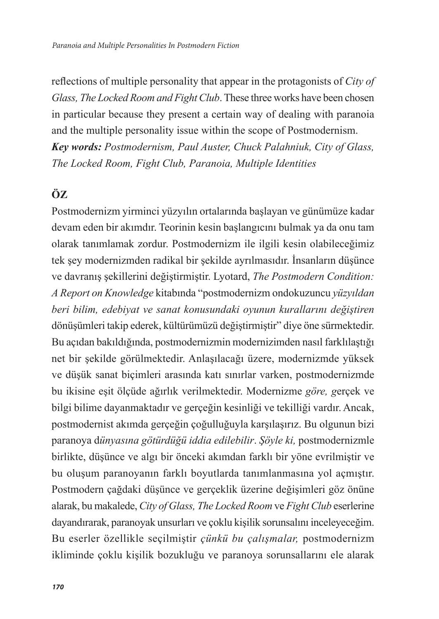reflections of multiple personality that appear in the protagonists of *City of Glass, The Locked Room and Fight Club*. These three works have been chosen in particular because they present a certain way of dealing with paranoia and the multiple personality issue within the scope of Postmodernism. *Key words: Postmodernism, Paul Auster, Chuck Palahniuk, City of Glass, The Locked Room, Fight Club, Paranoia, Multiple Identities*

# **ÖZ**

Postmodernizm yirminci yüzyılın ortalarında başlayan ve günümüze kadar devam eden bir akımdır. Teorinin kesin başlangıcını bulmak ya da onu tam olarak tanımlamak zordur. Postmodernizm ile ilgili kesin olabileceğimiz tek şey modernizmden radikal bir şekilde ayrılmasıdır. İnsanların düşünce ve davranış şekillerini değiştirmiştir. Lyotard, *The Postmodern Condition: A Report on Knowledge* kitabında "postmodernizm ondokuzuncu *yüzyıldan beri bilim, edebiyat ve sanat konusundaki oyunun kurallarını değiştiren*  dönüşümleri takip ederek, kültürümüzü değiştirmiştir" diye öne sürmektedir. Bu açıdan bakıldığında, postmodernizmin modernizimden nasıl farklılaştığı net bir şekilde görülmektedir. Anlaşılacağı üzere, modernizmde yüksek ve düşük sanat biçimleri arasında katı sınırlar varken, postmodernizmde bu ikisine eşit ölçüde ağırlık verilmektedir. Modernizme *göre, g*erçek ve bilgi bilime dayanmaktadır ve gerçeğin kesinliği ve tekilliği vardır. Ancak, postmodernist akımda gerçeğin çoğulluğuyla karşılaşırız. Bu olgunun bizi paranoya d*ünyasına götürdüğü iddia edilebilir*. *Şöyle ki,* postmodernizmle birlikte, düşünce ve algı bir önceki akımdan farklı bir yöne evrilmiştir ve bu oluşum paranoyanın farklı boyutlarda tanımlanmasına yol açmıştır. Postmodern çağdaki düşünce ve gerçeklik üzerine değişimleri göz önüne alarak, bu makalede, *City of Glass, The Locked Room* ve *Fight Club* eserlerine dayandırarak, paranoyak unsurları ve çoklu kişilik sorunsalını inceleyeceğim. Bu eserler özellikle seçilmiştir *çünkü bu çalışmalar,* postmodernizm ikliminde çoklu kişilik bozukluğu ve paranoya sorunsallarını ele alarak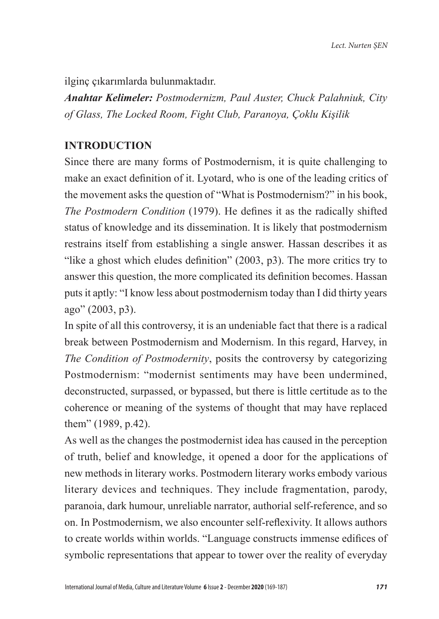ilginç çıkarımlarda bulunmaktadır.

*Anahtar Kelimeler: Postmodernizm, Paul Auster, Chuck Palahniuk, City of Glass, The Locked Room, Fight Club, Paranoya, Çoklu Kişilik*

# **INTRODUCTION**

Since there are many forms of Postmodernism, it is quite challenging to make an exact definition of it. Lyotard, who is one of the leading critics of the movement asks the question of "What is Postmodernism?" in his book, *The Postmodern Condition* (1979). He defines it as the radically shifted status of knowledge and its dissemination. It is likely that postmodernism restrains itself from establishing a single answer. Hassan describes it as "like a ghost which eludes definition" (2003, p3). The more critics try to answer this question, the more complicated its definition becomes. Hassan puts it aptly: "I know less about postmodernism today than I did thirty years ago" (2003, p3).

In spite of all this controversy, it is an undeniable fact that there is a radical break between Postmodernism and Modernism. In this regard, Harvey, in *The Condition of Postmodernity*, posits the controversy by categorizing Postmodernism: "modernist sentiments may have been undermined, deconstructed, surpassed, or bypassed, but there is little certitude as to the coherence or meaning of the systems of thought that may have replaced them" (1989, p.42).

As well as the changes the postmodernist idea has caused in the perception of truth, belief and knowledge, it opened a door for the applications of new methods in literary works. Postmodern literary works embody various literary devices and techniques. They include fragmentation, parody, paranoia, dark humour, unreliable narrator, authorial self-reference, and so on. In Postmodernism, we also encounter self-reflexivity. It allows authors to create worlds within worlds. "Language constructs immense edifices of symbolic representations that appear to tower over the reality of everyday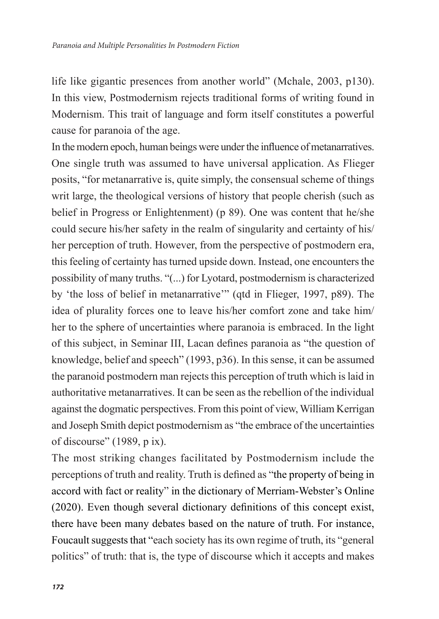life like gigantic presences from another world" (Mchale, 2003, p130). In this view, Postmodernism rejects traditional forms of writing found in Modernism. This trait of language and form itself constitutes a powerful cause for paranoia of the age.

In the modern epoch, human beings were under the influence of metanarratives. One single truth was assumed to have universal application. As Flieger posits, "for metanarrative is, quite simply, the consensual scheme of things writ large, the theological versions of history that people cherish (such as belief in Progress or Enlightenment) (p 89). One was content that he/she could secure his/her safety in the realm of singularity and certainty of his/ her perception of truth. However, from the perspective of postmodern era, this feeling of certainty has turned upside down. Instead, one encounters the possibility of many truths. "(...) for Lyotard, postmodernism is characterized by 'the loss of belief in metanarrative'" (qtd in Flieger, 1997, p89). The idea of plurality forces one to leave his/her comfort zone and take him/ her to the sphere of uncertainties where paranoia is embraced. In the light of this subject, in Seminar III, Lacan defines paranoia as "the question of knowledge, belief and speech" (1993, p36). In this sense, it can be assumed the paranoid postmodern man rejects this perception of truth which is laid in authoritative metanarratives. It can be seen as the rebellion of the individual against the dogmatic perspectives. From this point of view, William Kerrigan and Joseph Smith depict postmodernism as "the embrace of the uncertainties of discourse" (1989, p ix).

The most striking changes facilitated by Postmodernism include the perceptions of truth and reality. Truth is defined as "the property of being in accord with fact or reality" in the dictionary of Merriam-Webster's Online (2020). Even though several dictionary definitions of this concept exist, there have been many debates based on the nature of truth. For instance, Foucault suggests that "each society has its own regime of truth, its "general politics" of truth: that is, the type of discourse which it accepts and makes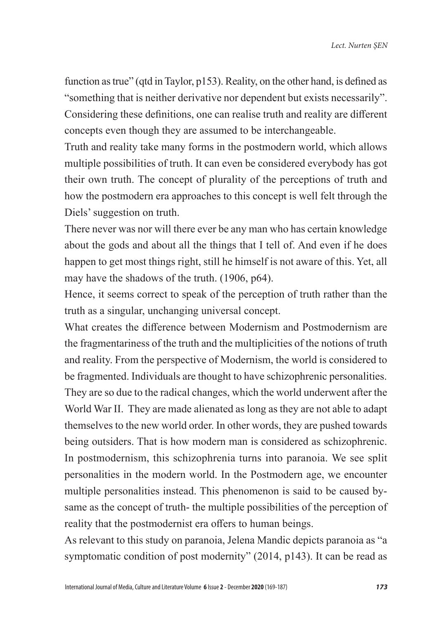function as true" (qtd in Taylor, p153). Reality, on the other hand, is defined as "something that is neither derivative nor dependent but exists necessarily". Considering these definitions, one can realise truth and reality are different concepts even though they are assumed to be interchangeable.

Truth and reality take many forms in the postmodern world, which allows multiple possibilities of truth. It can even be considered everybody has got their own truth. The concept of plurality of the perceptions of truth and how the postmodern era approaches to this concept is well felt through the Diels' suggestion on truth.

There never was nor will there ever be any man who has certain knowledge about the gods and about all the things that I tell of. And even if he does happen to get most things right, still he himself is not aware of this. Yet, all may have the shadows of the truth. (1906, p64).

Hence, it seems correct to speak of the perception of truth rather than the truth as a singular, unchanging universal concept.

What creates the difference between Modernism and Postmodernism are the fragmentariness of the truth and the multiplicities of the notions of truth and reality. From the perspective of Modernism, the world is considered to be fragmented. Individuals are thought to have schizophrenic personalities. They are so due to the radical changes, which the world underwent after the World War II. They are made alienated as long as they are not able to adapt themselves to the new world order. In other words, they are pushed towards being outsiders. That is how modern man is considered as schizophrenic. In postmodernism, this schizophrenia turns into paranoia. We see split personalities in the modern world. In the Postmodern age, we encounter multiple personalities instead. This phenomenon is said to be caused bysame as the concept of truth- the multiple possibilities of the perception of reality that the postmodernist era offers to human beings.

As relevant to this study on paranoia, Jelena Mandic depicts paranoia as "a symptomatic condition of post modernity" (2014, p143). It can be read as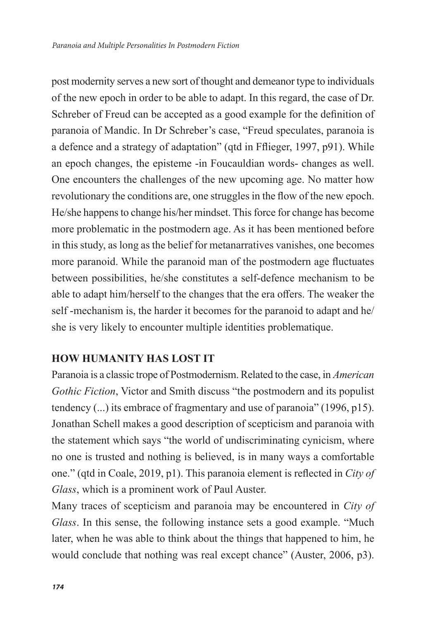post modernity serves a new sort of thought and demeanor type to individuals of the new epoch in order to be able to adapt. In this regard, the case of Dr. Schreber of Freud can be accepted as a good example for the definition of paranoia of Mandic. In Dr Schreber's case, "Freud speculates, paranoia is a defence and a strategy of adaptation" (qtd in Fflieger, 1997, p91). While an epoch changes, the episteme -in Foucauldian words- changes as well. One encounters the challenges of the new upcoming age. No matter how revolutionary the conditions are, one struggles in the flow of the new epoch. He/she happens to change his/her mindset. This force for change has become more problematic in the postmodern age. As it has been mentioned before in this study, as long as the belief for metanarratives vanishes, one becomes more paranoid. While the paranoid man of the postmodern age fluctuates between possibilities, he/she constitutes a self-defence mechanism to be able to adapt him/herself to the changes that the era offers. The weaker the self -mechanism is, the harder it becomes for the paranoid to adapt and he/ she is very likely to encounter multiple identities problematique.

# **HOW HUMANITY HAS LOST IT**

Paranoia is a classic trope of Postmodernism. Related to the case, in *American Gothic Fiction*, Victor and Smith discuss "the postmodern and its populist tendency (...) its embrace of fragmentary and use of paranoia" (1996, p15). Jonathan Schell makes a good description of scepticism and paranoia with the statement which says "the world of undiscriminating cynicism, where no one is trusted and nothing is believed, is in many ways a comfortable one." (qtd in Coale, 2019, p1). This paranoia element is reflected in *City of Glass*, which is a prominent work of Paul Auster.

Many traces of scepticism and paranoia may be encountered in *City of Glass*. In this sense, the following instance sets a good example. "Much later, when he was able to think about the things that happened to him, he would conclude that nothing was real except chance" (Auster, 2006, p3).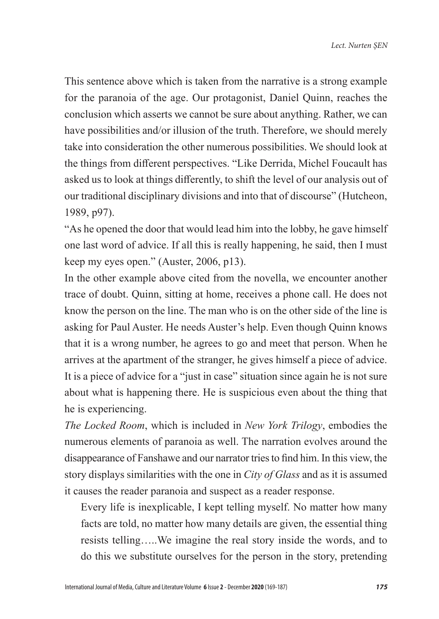This sentence above which is taken from the narrative is a strong example for the paranoia of the age. Our protagonist, Daniel Quinn, reaches the conclusion which asserts we cannot be sure about anything. Rather, we can have possibilities and/or illusion of the truth. Therefore, we should merely take into consideration the other numerous possibilities. We should look at the things from different perspectives. "Like Derrida, Michel Foucault has asked us to look at things differently, to shift the level of our analysis out of our traditional disciplinary divisions and into that of discourse" (Hutcheon, 1989, p97).

"As he opened the door that would lead him into the lobby, he gave himself one last word of advice. If all this is really happening, he said, then I must keep my eyes open." (Auster, 2006, p13).

In the other example above cited from the novella, we encounter another trace of doubt. Quinn, sitting at home, receives a phone call. He does not know the person on the line. The man who is on the other side of the line is asking for Paul Auster. He needs Auster's help. Even though Quinn knows that it is a wrong number, he agrees to go and meet that person. When he arrives at the apartment of the stranger, he gives himself a piece of advice. It is a piece of advice for a "just in case" situation since again he is not sure about what is happening there. He is suspicious even about the thing that he is experiencing.

*The Locked Room*, which is included in *New York Trilogy*, embodies the numerous elements of paranoia as well. The narration evolves around the disappearance of Fanshawe and our narrator tries to find him. In this view, the story displays similarities with the one in *City of Glass* and as it is assumed it causes the reader paranoia and suspect as a reader response.

Every life is inexplicable, I kept telling myself. No matter how many facts are told, no matter how many details are given, the essential thing resists telling…..We imagine the real story inside the words, and to do this we substitute ourselves for the person in the story, pretending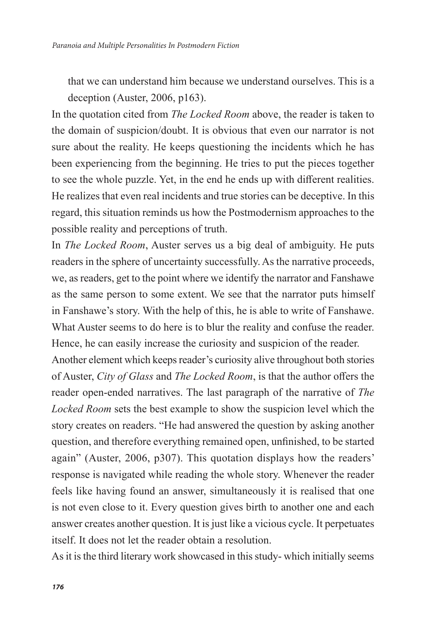that we can understand him because we understand ourselves. This is a deception (Auster, 2006, p163).

In the quotation cited from *The Locked Room* above, the reader is taken to the domain of suspicion/doubt. It is obvious that even our narrator is not sure about the reality. He keeps questioning the incidents which he has been experiencing from the beginning. He tries to put the pieces together to see the whole puzzle. Yet, in the end he ends up with different realities. He realizes that even real incidents and true stories can be deceptive. In this regard, this situation reminds us how the Postmodernism approaches to the possible reality and perceptions of truth.

In *The Locked Room*, Auster serves us a big deal of ambiguity. He puts readers in the sphere of uncertainty successfully. As the narrative proceeds, we, as readers, get to the point where we identify the narrator and Fanshawe as the same person to some extent. We see that the narrator puts himself in Fanshawe's story. With the help of this, he is able to write of Fanshawe. What Auster seems to do here is to blur the reality and confuse the reader. Hence, he can easily increase the curiosity and suspicion of the reader.

Another element which keeps reader's curiosity alive throughout both stories of Auster, *City of Glass* and *The Locked Room*, is that the author offers the reader open-ended narratives. The last paragraph of the narrative of *The Locked Room* sets the best example to show the suspicion level which the story creates on readers. "He had answered the question by asking another question, and therefore everything remained open, unfinished, to be started again" (Auster, 2006, p307). This quotation displays how the readers' response is navigated while reading the whole story. Whenever the reader feels like having found an answer, simultaneously it is realised that one is not even close to it. Every question gives birth to another one and each answer creates another question. It is just like a vicious cycle. It perpetuates itself. It does not let the reader obtain a resolution.

As it is the third literary work showcased in this study- which initially seems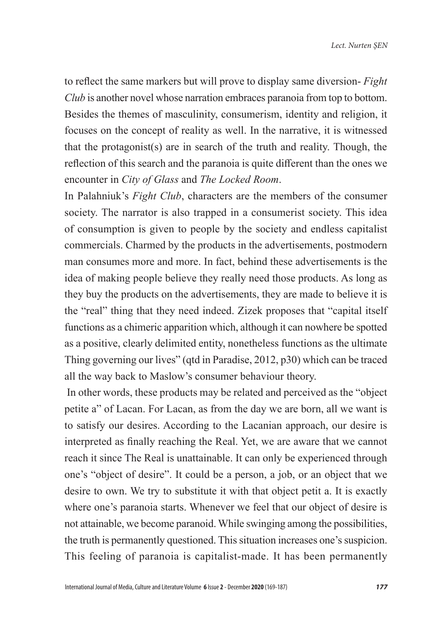to reflect the same markers but will prove to display same diversion- *Fight Club* is another novel whose narration embraces paranoia from top to bottom. Besides the themes of masculinity, consumerism, identity and religion, it focuses on the concept of reality as well. In the narrative, it is witnessed that the protagonist(s) are in search of the truth and reality. Though, the reflection of this search and the paranoia is quite different than the ones we encounter in *City of Glass* and *The Locked Room*.

In Palahniuk's *Fight Club*, characters are the members of the consumer society. The narrator is also trapped in a consumerist society. This idea of consumption is given to people by the society and endless capitalist commercials. Charmed by the products in the advertisements, postmodern man consumes more and more. In fact, behind these advertisements is the idea of making people believe they really need those products. As long as they buy the products on the advertisements, they are made to believe it is the "real" thing that they need indeed. Zizek proposes that "capital itself functions as a chimeric apparition which, although it can nowhere be spotted as a positive, clearly delimited entity, nonetheless functions as the ultimate Thing governing our lives" (qtd in Paradise, 2012, p30) which can be traced all the way back to Maslow's consumer behaviour theory.

 In other words, these products may be related and perceived as the "object petite a" of Lacan. For Lacan, as from the day we are born, all we want is to satisfy our desires. According to the Lacanian approach, our desire is interpreted as finally reaching the Real. Yet, we are aware that we cannot reach it since The Real is unattainable. It can only be experienced through one's "object of desire". It could be a person, a job, or an object that we desire to own. We try to substitute it with that object petit a. It is exactly where one's paranoia starts. Whenever we feel that our object of desire is not attainable, we become paranoid. While swinging among the possibilities, the truth is permanently questioned. This situation increases one's suspicion. This feeling of paranoia is capitalist-made. It has been permanently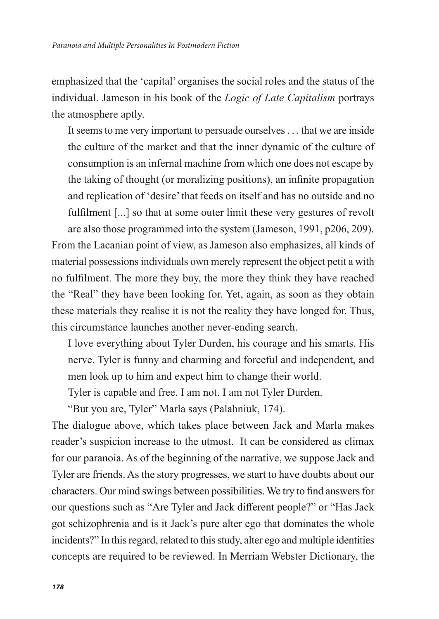emphasized that the 'capital' organises the social roles and the status of the individual. Jameson in his book of the *Logic of Late Capitalism* portrays the atmosphere aptly.

It seems to me very important to persuade ourselves . . . that we are inside the culture of the market and that the inner dynamic of the culture of consumption is an infernal machine from which one does not escape by the taking of thought (or moralizing positions), an infinite propagation and replication of 'desire' that feeds on itself and has no outside and no fulfilment [...] so that at some outer limit these very gestures of revolt are also those programmed into the system (Jameson, 1991, p206, 209).

From the Lacanian point of view, as Jameson also emphasizes, all kinds of material possessions individuals own merely represent the object petit a with no fulfilment. The more they buy, the more they think they have reached the "Real" they have been looking for. Yet, again, as soon as they obtain these materials they realise it is not the reality they have longed for. Thus, this circumstance launches another never-ending search.

I love everything about Tyler Durden, his courage and his smarts. His nerve. Tyler is funny and charming and forceful and independent, and men look up to him and expect him to change their world.

Tyler is capable and free. I am not. I am not Tyler Durden.

"But you are, Tyler" Marla says (Palahniuk, 174).

The dialogue above, which takes place between Jack and Marla makes reader's suspicion increase to the utmost. It can be considered as climax for our paranoia. As of the beginning of the narrative, we suppose Jack and Tyler are friends. As the story progresses, we start to have doubts about our characters. Our mind swings between possibilities. We try to find answers for our questions such as "Are Tyler and Jack different people?" or "Has Jack got schizophrenia and is it Jack's pure alter ego that dominates the whole incidents?" In this regard, related to this study, alter ego and multiple identities concepts are required to be reviewed. In Merriam Webster Dictionary, the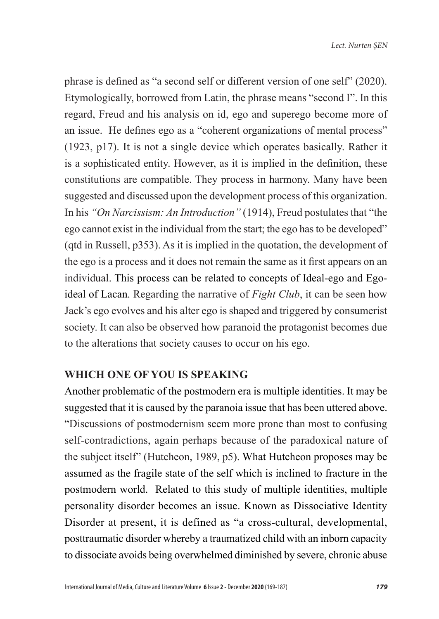phrase is defined as "a second self or different version of one self" (2020). Etymologically, borrowed from Latin, the phrase means "second I". In this regard, Freud and his analysis on id, ego and superego become more of an issue. He defines ego as a "coherent organizations of mental process" (1923, p17). It is not a single device which operates basically. Rather it is a sophisticated entity. However, as it is implied in the definition, these constitutions are compatible. They process in harmony. Many have been suggested and discussed upon the development process of this organization. In his *"On Narcissism: An Introduction"* (1914), Freud postulates that "the ego cannot exist in the individual from the start; the ego has to be developed" (qtd in Russell, p353). As it is implied in the quotation, the development of the ego is a process and it does not remain the same as it first appears on an individual. This process can be related to concepts of Ideal-ego and Egoideal of Lacan. Regarding the narrative of *Fight Club*, it can be seen how Jack's ego evolves and his alter ego is shaped and triggered by consumerist society. It can also be observed how paranoid the protagonist becomes due to the alterations that society causes to occur on his ego.

## **WHICH ONE OF YOU IS SPEAKING**

Another problematic of the postmodern era is multiple identities. It may be suggested that it is caused by the paranoia issue that has been uttered above. "Discussions of postmodernism seem more prone than most to confusing self-contradictions, again perhaps because of the paradoxical nature of the subject itself" (Hutcheon, 1989, p5). What Hutcheon proposes may be assumed as the fragile state of the self which is inclined to fracture in the postmodern world. Related to this study of multiple identities, multiple personality disorder becomes an issue. Known as Dissociative Identity Disorder at present, it is defined as "a cross-cultural, developmental, posttraumatic disorder whereby a traumatized child with an inborn capacity to dissociate avoids being overwhelmed diminished by severe, chronic abuse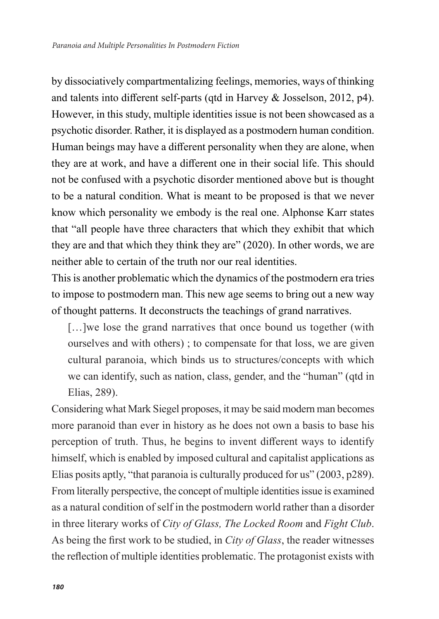by dissociatively compartmentalizing feelings, memories, ways of thinking and talents into different self-parts (qtd in Harvey & Josselson, 2012, p4). However, in this study, multiple identities issue is not been showcased as a psychotic disorder. Rather, it is displayed as a postmodern human condition. Human beings may have a different personality when they are alone, when they are at work, and have a different one in their social life. This should not be confused with a psychotic disorder mentioned above but is thought to be a natural condition. What is meant to be proposed is that we never know which personality we embody is the real one. Alphonse Karr states that "all people have three characters that which they exhibit that which they are and that which they think they are" (2020). In other words, we are neither able to certain of the truth nor our real identities.

This is another problematic which the dynamics of the postmodern era tries to impose to postmodern man. This new age seems to bring out a new way of thought patterns. It deconstructs the teachings of grand narratives.

[...]we lose the grand narratives that once bound us together (with ourselves and with others) ; to compensate for that loss, we are given cultural paranoia, which binds us to structures/concepts with which we can identify, such as nation, class, gender, and the "human" (qtd in Elias, 289).

Considering what Mark Siegel proposes, it may be said modern man becomes more paranoid than ever in history as he does not own a basis to base his perception of truth. Thus, he begins to invent different ways to identify himself, which is enabled by imposed cultural and capitalist applications as Elias posits aptly, "that paranoia is culturally produced for us" (2003, p289). From literally perspective, the concept of multiple identities issue is examined as a natural condition of self in the postmodern world rather than a disorder in three literary works of *City of Glass, The Locked Room* and *Fight Club*. As being the first work to be studied, in *City of Glass*, the reader witnesses the reflection of multiple identities problematic. The protagonist exists with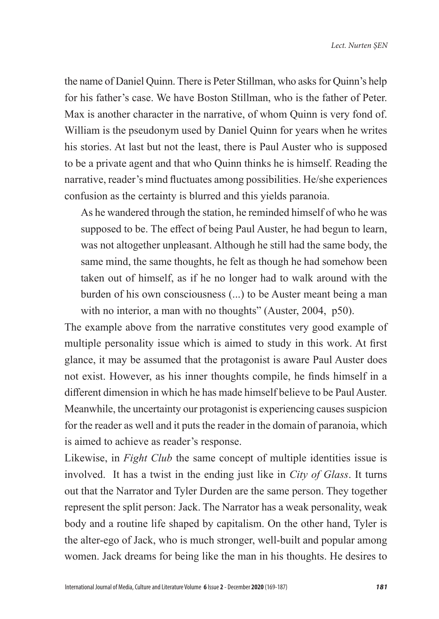the name of Daniel Quinn. There is Peter Stillman, who asks for Quinn's help for his father's case. We have Boston Stillman, who is the father of Peter. Max is another character in the narrative, of whom Quinn is very fond of. William is the pseudonym used by Daniel Quinn for years when he writes his stories. At last but not the least, there is Paul Auster who is supposed to be a private agent and that who Quinn thinks he is himself. Reading the narrative, reader's mind fluctuates among possibilities. He/she experiences confusion as the certainty is blurred and this yields paranoia.

As he wandered through the station, he reminded himself of who he was supposed to be. The effect of being Paul Auster, he had begun to learn, was not altogether unpleasant. Although he still had the same body, the same mind, the same thoughts, he felt as though he had somehow been taken out of himself, as if he no longer had to walk around with the burden of his own consciousness (...) to be Auster meant being a man with no interior, a man with no thoughts" (Auster, 2004, p50).

The example above from the narrative constitutes very good example of multiple personality issue which is aimed to study in this work. At first glance, it may be assumed that the protagonist is aware Paul Auster does not exist. However, as his inner thoughts compile, he finds himself in a different dimension in which he has made himself believe to be Paul Auster. Meanwhile, the uncertainty our protagonist is experiencing causes suspicion for the reader as well and it puts the reader in the domain of paranoia, which is aimed to achieve as reader's response.

Likewise, in *Fight Club* the same concept of multiple identities issue is involved. It has a twist in the ending just like in *City of Glass*. It turns out that the Narrator and Tyler Durden are the same person. They together represent the split person: Jack. The Narrator has a weak personality, weak body and a routine life shaped by capitalism. On the other hand, Tyler is the alter-ego of Jack, who is much stronger, well-built and popular among women. Jack dreams for being like the man in his thoughts. He desires to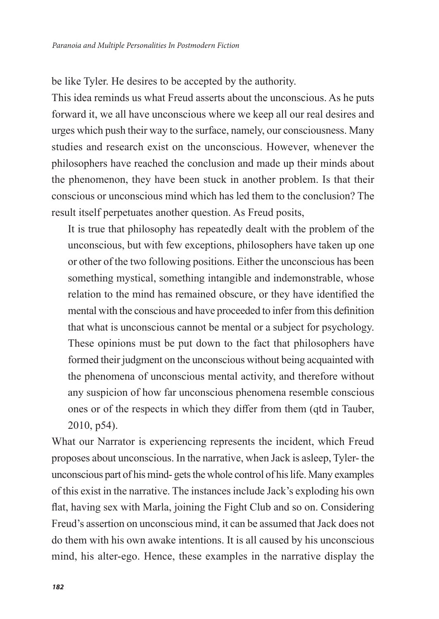be like Tyler. He desires to be accepted by the authority.

This idea reminds us what Freud asserts about the unconscious. As he puts forward it, we all have unconscious where we keep all our real desires and urges which push their way to the surface, namely, our consciousness. Many studies and research exist on the unconscious. However, whenever the philosophers have reached the conclusion and made up their minds about the phenomenon, they have been stuck in another problem. Is that their conscious or unconscious mind which has led them to the conclusion? The result itself perpetuates another question. As Freud posits,

It is true that philosophy has repeatedly dealt with the problem of the unconscious, but with few exceptions, philosophers have taken up one or other of the two following positions. Either the unconscious has been something mystical, something intangible and indemonstrable, whose relation to the mind has remained obscure, or they have identified the mental with the conscious and have proceeded to infer from this definition that what is unconscious cannot be mental or a subject for psychology. These opinions must be put down to the fact that philosophers have formed their judgment on the unconscious without being acquainted with the phenomena of unconscious mental activity, and therefore without any suspicion of how far unconscious phenomena resemble conscious ones or of the respects in which they differ from them (qtd in Tauber, 2010, p54).

What our Narrator is experiencing represents the incident, which Freud proposes about unconscious. In the narrative, when Jack is asleep, Tyler- the unconscious part of his mind- gets the whole control of his life. Many examples of this exist in the narrative. The instances include Jack's exploding his own flat, having sex with Marla, joining the Fight Club and so on. Considering Freud's assertion on unconscious mind, it can be assumed that Jack does not do them with his own awake intentions. It is all caused by his unconscious mind, his alter-ego. Hence, these examples in the narrative display the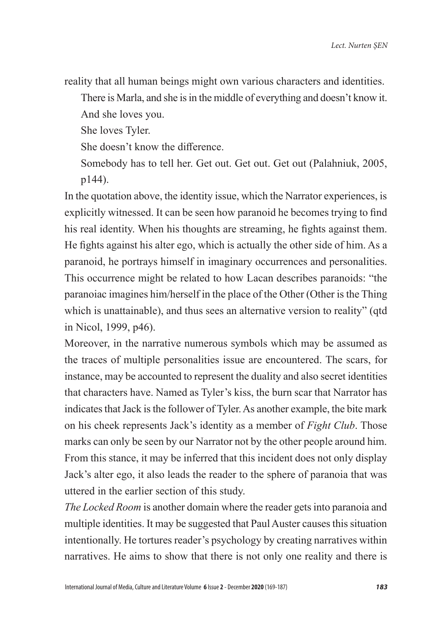reality that all human beings might own various characters and identities.

There is Marla, and she is in the middle of everything and doesn't know it.

And she loves you.

She loves Tyler.

She doesn't know the difference.

Somebody has to tell her. Get out. Get out. Get out (Palahniuk, 2005, p144).

In the quotation above, the identity issue, which the Narrator experiences, is explicitly witnessed. It can be seen how paranoid he becomes trying to find his real identity. When his thoughts are streaming, he fights against them. He fights against his alter ego, which is actually the other side of him. As a paranoid, he portrays himself in imaginary occurrences and personalities. This occurrence might be related to how Lacan describes paranoids: "the paranoiac imagines him/herself in the place of the Other (Other is the Thing which is unattainable), and thus sees an alternative version to reality" (qtd in Nicol, 1999, p46).

Moreover, in the narrative numerous symbols which may be assumed as the traces of multiple personalities issue are encountered. The scars, for instance, may be accounted to represent the duality and also secret identities that characters have. Named as Tyler's kiss, the burn scar that Narrator has indicates that Jack is the follower of Tyler. As another example, the bite mark on his cheek represents Jack's identity as a member of *Fight Club*. Those marks can only be seen by our Narrator not by the other people around him. From this stance, it may be inferred that this incident does not only display Jack's alter ego, it also leads the reader to the sphere of paranoia that was uttered in the earlier section of this study.

*The Locked Room* is another domain where the reader gets into paranoia and multiple identities. It may be suggested that Paul Auster causes this situation intentionally. He tortures reader's psychology by creating narratives within narratives. He aims to show that there is not only one reality and there is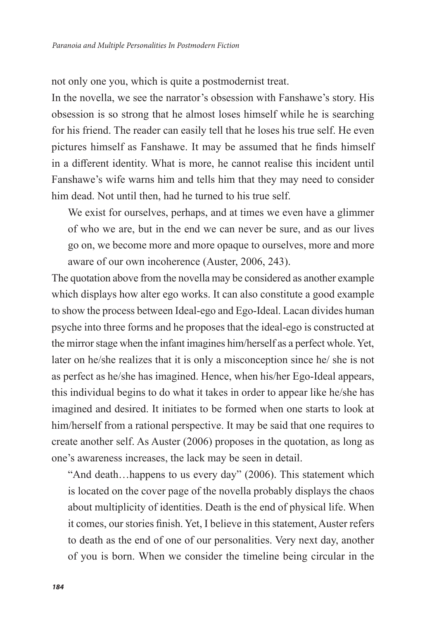not only one you, which is quite a postmodernist treat.

In the novella, we see the narrator's obsession with Fanshawe's story. His obsession is so strong that he almost loses himself while he is searching for his friend. The reader can easily tell that he loses his true self. He even pictures himself as Fanshawe. It may be assumed that he finds himself in a different identity. What is more, he cannot realise this incident until Fanshawe's wife warns him and tells him that they may need to consider him dead. Not until then, had he turned to his true self.

We exist for ourselves, perhaps, and at times we even have a glimmer of who we are, but in the end we can never be sure, and as our lives go on, we become more and more opaque to ourselves, more and more aware of our own incoherence (Auster, 2006, 243).

The quotation above from the novella may be considered as another example which displays how alter ego works. It can also constitute a good example to show the process between Ideal-ego and Ego-Ideal. Lacan divides human psyche into three forms and he proposes that the ideal-ego is constructed at the mirror stage when the infant imagines him/herself as a perfect whole. Yet, later on he/she realizes that it is only a misconception since he/ she is not as perfect as he/she has imagined. Hence, when his/her Ego-Ideal appears, this individual begins to do what it takes in order to appear like he/she has imagined and desired. It initiates to be formed when one starts to look at him/herself from a rational perspective. It may be said that one requires to create another self. As Auster (2006) proposes in the quotation, as long as one's awareness increases, the lack may be seen in detail.

"And death…happens to us every day" (2006). This statement which is located on the cover page of the novella probably displays the chaos about multiplicity of identities. Death is the end of physical life. When it comes, our stories finish. Yet, I believe in this statement, Auster refers to death as the end of one of our personalities. Very next day, another of you is born. When we consider the timeline being circular in the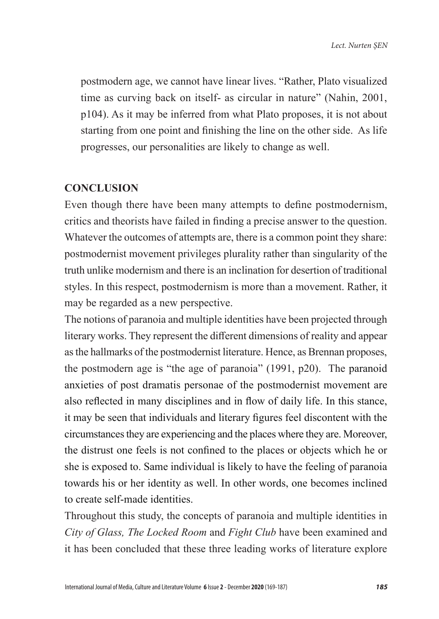postmodern age, we cannot have linear lives. "Rather, Plato visualized time as curving back on itself- as circular in nature" (Nahin, 2001, p104). As it may be inferred from what Plato proposes, it is not about starting from one point and finishing the line on the other side. As life progresses, our personalities are likely to change as well.

#### **CONCLUSION**

Even though there have been many attempts to define postmodernism, critics and theorists have failed in finding a precise answer to the question. Whatever the outcomes of attempts are, there is a common point they share: postmodernist movement privileges plurality rather than singularity of the truth unlike modernism and there is an inclination for desertion of traditional styles. In this respect, postmodernism is more than a movement. Rather, it may be regarded as a new perspective.

The notions of paranoia and multiple identities have been projected through literary works. They represent the different dimensions of reality and appear as the hallmarks of the postmodernist literature. Hence, as Brennan proposes, the postmodern age is "the age of paranoia" (1991, p20). The paranoid anxieties of post dramatis personae of the postmodernist movement are also reflected in many disciplines and in flow of daily life. In this stance, it may be seen that individuals and literary figures feel discontent with the circumstances they are experiencing and the places where they are. Moreover, the distrust one feels is not confined to the places or objects which he or she is exposed to. Same individual is likely to have the feeling of paranoia towards his or her identity as well. In other words, one becomes inclined to create self-made identities.

Throughout this study, the concepts of paranoia and multiple identities in *City of Glass, The Locked Room* and *Fight Club* have been examined and it has been concluded that these three leading works of literature explore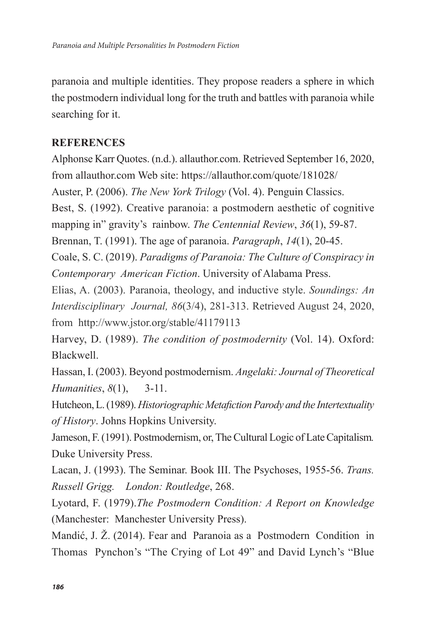paranoia and multiple identities. They propose readers a sphere in which the postmodern individual long for the truth and battles with paranoia while searching for it.

### **REFERENCES**

Alphonse Karr Quotes. (n.d.). allauthor.com. Retrieved September 16, 2020, from allauthor.com Web site: https://allauthor.com/quote/181028/

Auster, P. (2006). *The New York Trilogy* (Vol. 4). Penguin Classics.

Best, S. (1992). Creative paranoia: a postmodern aesthetic of cognitive mapping in" gravity's rainbow. *The Centennial Review*, *36*(1), 59-87.

Brennan, T. (1991). The age of paranoia. *Paragraph*, *14*(1), 20-45.

Coale, S. C. (2019). *Paradigms of Paranoia: The Culture of Conspiracy in Contemporary American Fiction*. University of Alabama Press.

Elias, A. (2003). Paranoia, theology, and inductive style. *Soundings: An Interdisciplinary Journal, 86*(3/4), 281-313. Retrieved August 24, 2020, from http://www.jstor.org/stable/41179113

Harvey, D. (1989). *The condition of postmodernity* (Vol. 14). Oxford: Blackwell.

Hassan, I. (2003). Beyond postmodernism. *Angelaki: Journal of Theoretical Humanities*, *8*(1), 3-11.

Hutcheon, L. (1989). *Historiographic Metafiction Parody and the Intertextuality of History*. Johns Hopkins University.

Jameson, F. (1991). Postmodernism, or, The Cultural Logic of Late Capitalism*.*  Duke University Press.

Lacan, J. (1993). The Seminar. Book III. The Psychoses, 1955-56. *Trans. Russell Grigg. London: Routledge*, 268.

Lyotard, F. (1979).*The Postmodern Condition: A Report on Knowledge*  (Manchester: Manchester University Press).

Mandić, J. Ž. (2014). Fear and Paranoia as a Postmodern Condition in Thomas Pynchon's "The Crying of Lot 49" and David Lynch's "Blue